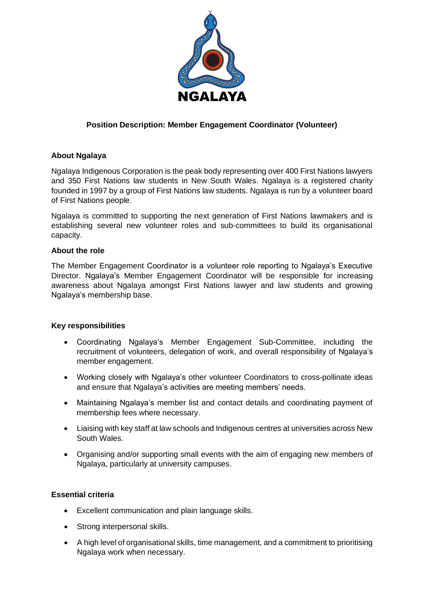

# **Position Description: Member Engagement Coordinator (Volunteer)**

## **About Ngalaya**

Ngalaya Indigenous Corporation is the peak body representing over 400 First Nations lawyers and 350 First Nations law students in New South Wales. Ngalaya is a registered charity founded in 1997 by a group of First Nations law students. Ngalaya is run by a volunteer board of First Nations people.

Ngalaya is committed to supporting the next generation of First Nations lawmakers and is establishing several new volunteer roles and sub-committees to build its organisational capacity.

#### **About the role**

The Member Engagement Coordinator is a volunteer role reporting to Ngalaya's Executive Director. Ngalaya's Member Engagement Coordinator will be responsible for increasing awareness about Ngalaya amongst First Nations lawyer and law students and growing Ngalaya's membership base.

#### **Key responsibilities**

- Coordinating Ngalaya's Member Engagement Sub-Committee, including the recruitment of volunteers, delegation of work, and overall responsibility of Ngalaya's member engagement.
- Working closely with Ngalaya's other volunteer Coordinators to cross-pollinate ideas and ensure that Ngalaya's activities are meeting members' needs.
- Maintaining Ngalaya's member list and contact details and coordinating payment of membership fees where necessary.
- Liaising with key staff at law schools and Indigenous centres at universities across New South Wales.
- Organising and/or supporting small events with the aim of engaging new members of Ngalaya, particularly at university campuses.

## **Essential criteria**

- Excellent communication and plain language skills.
- Strong interpersonal skills.
- A high level of organisational skills, time management, and a commitment to prioritising Ngalaya work when necessary.